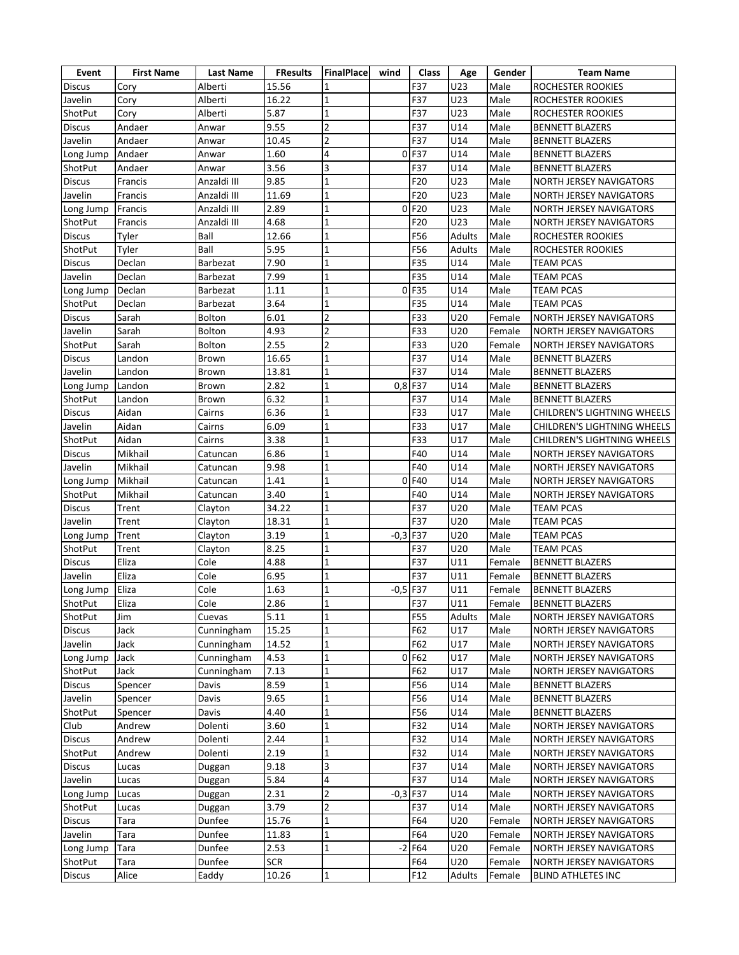| Event          | <b>First Name</b> | <b>Last Name</b> | <b>FResults</b> | FinalPlace              | wind   | <b>Class</b> | Age    | Gender | <b>Team Name</b>               |
|----------------|-------------------|------------------|-----------------|-------------------------|--------|--------------|--------|--------|--------------------------------|
| <b>Discus</b>  | Cory              | Alberti          | 15.56           | 1                       |        | F37          | U23    | Male   | ROCHESTER ROOKIES              |
| Javelin        | Cory              | Alberti          | 16.22           | 1                       |        | F37          | U23    | Male   | ROCHESTER ROOKIES              |
| ShotPut        | Cory              | Alberti          | 5.87            | $\mathbf{1}$            |        | F37          | U23    | Male   | ROCHESTER ROOKIES              |
| <b>Discus</b>  | Andaer            | Anwar            | 9.55            | $\overline{2}$          |        | F37          | U14    | Male   | <b>BENNETT BLAZERS</b>         |
| Javelin        | Andaer            | Anwar            | 10.45           | $\overline{2}$          |        | F37          | U14    | Male   | <b>BENNETT BLAZERS</b>         |
| Long Jump      | Andaer            | Anwar            | 1.60            | $\overline{4}$          |        | 0 F37        | U14    | Male   | <b>BENNETT BLAZERS</b>         |
| ShotPut        | Andaer            | Anwar            | 3.56            | 3                       |        | F37          | U14    | Male   | <b>BENNETT BLAZERS</b>         |
| <b>Discus</b>  | Francis           | Anzaldi III      | 9.85            | $\mathbf{1}$            |        | F20          | U23    | Male   | NORTH JERSEY NAVIGATORS        |
| Javelin        | Francis           | Anzaldi III      | 11.69           | $\mathbf{1}$            |        | F20          | U23    | Male   | NORTH JERSEY NAVIGATORS        |
| Long Jump      | Francis           | Anzaldi III      | 2.89            | $\mathbf 1$             | 0      | F20          | U23    | Male   | <b>NORTH JERSEY NAVIGATORS</b> |
| ShotPut        | Francis           | Anzaldi III      | 4.68            | $\mathbf{1}$            |        | F20          | U23    | Male   | <b>NORTH JERSEY NAVIGATORS</b> |
| <b>Discus</b>  | Tyler             | Ball             | 12.66           | $\mathbf{1}$            |        | F56          | Adults | Male   | ROCHESTER ROOKIES              |
| ShotPut        | Tyler             | Ball             | 5.95            | $\mathbf{1}$            |        | F56          | Adults | Male   | ROCHESTER ROOKIES              |
| <b>Discus</b>  | Declan            | Barbezat         | 7.90            | $\mathbf 1$             |        | F35          | U14    | Male   | <b>TEAM PCAS</b>               |
| Javelin        | Declan            | Barbezat         | 7.99            | 1                       |        | F35          | U14    | Male   | <b>TEAM PCAS</b>               |
| Long Jump      | Declan            | Barbezat         | 1.11            | $\mathbf{1}$            | 0      | F35          | U14    | Male   | <b>TEAM PCAS</b>               |
| <b>ShotPut</b> | Declan            | Barbezat         | 3.64            | $\mathbf{1}$            |        | F35          | U14    | Male   | <b>TEAM PCAS</b>               |
| <b>Discus</b>  | Sarah             | Bolton           | 6.01            | $\overline{c}$          |        | F33          | U20    | Female | NORTH JERSEY NAVIGATORS        |
| Javelin        | Sarah             | Bolton           | 4.93            | $\overline{2}$          |        | F33          | U20    | Female | <b>NORTH JERSEY NAVIGATORS</b> |
| ShotPut        | Sarah             | <b>Bolton</b>    | 2.55            | $\overline{2}$          |        | F33          | U20    | Female | NORTH JERSEY NAVIGATORS        |
| <b>Discus</b>  | Landon            | Brown            | 16.65           | $\overline{\mathbf{1}}$ |        | F37          | U14    | Male   | <b>BENNETT BLAZERS</b>         |
| Javelin        | Landon            | Brown            | 13.81           | $\mathbf{1}$            |        | F37          | U14    | Male   | <b>BENNETT BLAZERS</b>         |
| Long Jump      | Landon            | Brown            | 2.82            | $\mathbf 1$             | 0,8    | F37          | U14    | Male   | <b>BENNETT BLAZERS</b>         |
| ShotPut        | Landon            | Brown            | 6.32            | $\mathbf{1}$            |        | F37          | U14    | Male   | <b>BENNETT BLAZERS</b>         |
| Discus         | Aidan             | Cairns           | 6.36            | $\mathbf{1}$            |        | F33          | U17    | Male   | CHILDREN'S LIGHTNING WHEELS    |
| Javelin        | Aidan             | Cairns           | 6.09            | $\mathbf{1}$            |        | F33          | U17    | Male   | CHILDREN'S LIGHTNING WHEELS    |
| ShotPut        | Aidan             | Cairns           | 3.38            | $\mathbf 1$             |        | F33          | U17    | Male   | CHILDREN'S LIGHTNING WHEELS    |
| <b>Discus</b>  | Mikhail           | Catuncan         | 6.86            | $\mathbf{1}$            |        | F40          | U14    | Male   | <b>NORTH JERSEY NAVIGATORS</b> |
| Javelin        | Mikhail           | Catuncan         | 9.98            | $\overline{1}$          |        | F40          | U14    | Male   | NORTH JERSEY NAVIGATORS        |
| Long Jump      | Mikhail           | Catuncan         | 1.41            | $\mathbf{1}$            | 0      | F40          | U14    | Male   | NORTH JERSEY NAVIGATORS        |
| ShotPut        | Mikhail           | Catuncan         | 3.40            | $\mathbf{1}$            |        | F40          | U14    | Male   | <b>NORTH JERSEY NAVIGATORS</b> |
| <b>Discus</b>  | Trent             | Clayton          | 34.22           | 1                       |        | F37          | U20    | Male   | <b>TEAM PCAS</b>               |
| Javelin        | Trent             | Clayton          | 18.31           | $\mathbf{1}$            |        | F37          | U20    | Male   | <b>TEAM PCAS</b>               |
| Long Jump      | Trent             | Clayton          | 3.19            | $\mathbf{1}$            | $-0,3$ | F37          | U20    | Male   | <b>TEAM PCAS</b>               |
| <b>ShotPut</b> | Trent             | Clayton          | 8.25            | $\mathbf 1$             |        | F37          | U20    | Male   | <b>TEAM PCAS</b>               |
| <b>Discus</b>  | Eliza             | Cole             | 4.88            | $\mathbf{1}$            |        | F37          | U11    | Female | <b>BENNETT BLAZERS</b>         |
| Javelin        | Eliza             | Cole             | 6.95            | $\mathbf 1$             |        | F37          | U11    | Female | <b>BENNETT BLAZERS</b>         |
| Long Jump      | Eliza             | Cole             | 1.63            | $\mathbf{1}$            | $-0,5$ | F37          | U11    | Female | <b>BENNETT BLAZERS</b>         |
| ShotPut        | Eliza             | Cole             | 2.86            |                         |        | F37          | U11    | Female | <b>BENNETT BLAZERS</b>         |
| ShotPut        | Jim               | Cuevas           | 5.11            | $\mathbf 1$             |        | F55          | Adults | Male   | <b>NORTH JERSEY NAVIGATORS</b> |
| <b>Discus</b>  | Jack              | Cunningham       | 15.25           | $\mathbf{1}$            |        | F62          | U17    | Male   | NORTH JERSEY NAVIGATORS        |
| Javelin        | Jack              | Cunningham       | 14.52           | $\mathbf{1}$            |        | F62          | U17    | Male   | NORTH JERSEY NAVIGATORS        |
| Long Jump      | Jack              | Cunningham       | 4.53            | $\mathbf{1}$            | 0      | F62          | U17    | Male   | NORTH JERSEY NAVIGATORS        |
| ShotPut        | Jack              | Cunningham       | 7.13            | $\mathbf 1$             |        | F62          | U17    | Male   | NORTH JERSEY NAVIGATORS        |
| <b>Discus</b>  | Spencer           | Davis            | 8.59            | $\mathbf{1}$            |        | F56          | U14    | Male   | <b>BENNETT BLAZERS</b>         |
| Javelin        | Spencer           | Davis            | 9.65            | $\mathbf{1}$            |        | F56          | U14    | Male   | <b>BENNETT BLAZERS</b>         |
| ShotPut        | Spencer           | Davis            | 4.40            | $\mathbf 1$             |        | F56          | U14    | Male   | <b>BENNETT BLAZERS</b>         |
| Club           | Andrew            | Dolenti          | 3.60            | $\mathbf 1$             |        | F32          | U14    | Male   | NORTH JERSEY NAVIGATORS        |
| <b>Discus</b>  | Andrew            | Dolenti          | 2.44            | $\mathbf{1}$            |        | F32          | U14    | Male   | NORTH JERSEY NAVIGATORS        |
| ShotPut        | Andrew            | Dolenti          | 2.19            | $\mathbf{1}$            |        | F32          | U14    | Male   | NORTH JERSEY NAVIGATORS        |
| <b>Discus</b>  | Lucas             | Duggan           | 9.18            | 3                       |        | F37          | U14    | Male   | NORTH JERSEY NAVIGATORS        |
| Javelin        | Lucas             | Duggan           | 5.84            | $\overline{\mathbf{4}}$ |        | F37          | U14    | Male   | NORTH JERSEY NAVIGATORS        |
| Long Jump      | Lucas             | Duggan           | 2.31            | $\overline{2}$          |        | $-0,3$ F37   | U14    | Male   | <b>NORTH JERSEY NAVIGATORS</b> |
| ShotPut        | Lucas             | Duggan           | 3.79            | $\overline{2}$          |        | F37          | U14    | Male   | NORTH JERSEY NAVIGATORS        |
| <b>Discus</b>  | Tara              | Dunfee           | 15.76           | $\mathbf{1}$            |        | F64          | U20    | Female | NORTH JERSEY NAVIGATORS        |
| Javelin        | Tara              | Dunfee           | 11.83           | $\mathbf 1$             |        | F64          | U20    | Female | NORTH JERSEY NAVIGATORS        |
| Long Jump      | Tara              | Dunfee           | 2.53            | 1                       |        | $-2$ F64     | U20    | Female | NORTH JERSEY NAVIGATORS        |
| ShotPut        | Tara              | Dunfee           | <b>SCR</b>      |                         |        | F64          | U20    | Female | NORTH JERSEY NAVIGATORS        |
| <b>Discus</b>  | Alice             | Eaddy            | 10.26           | 1                       |        | F12          | Adults | Female | <b>BLIND ATHLETES INC</b>      |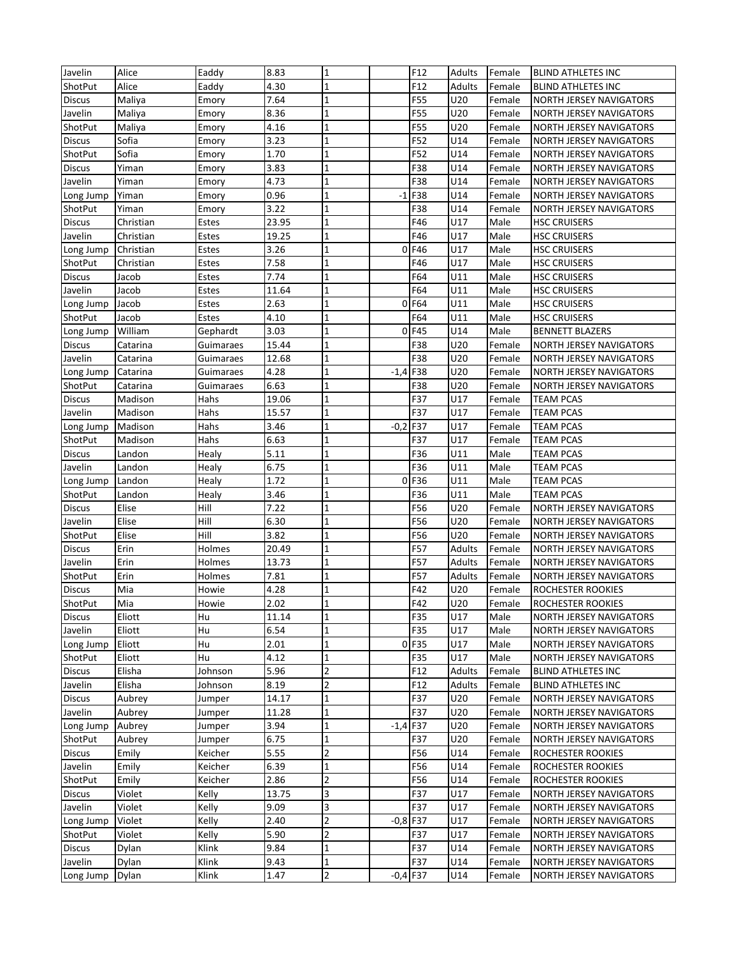| Javelin       | Alice     | Eaddy     | 8.83  | $\mathbf{1}$            |            | F12        | Adults | Female | <b>BLIND ATHLETES INC</b>      |
|---------------|-----------|-----------|-------|-------------------------|------------|------------|--------|--------|--------------------------------|
|               |           | Eaddy     |       |                         |            |            |        |        |                                |
| ShotPut       | Alice     |           | 4.30  | $\mathbf{1}$            |            | F12        | Adults | Female | <b>BLIND ATHLETES INC</b>      |
| Discus        | Maliya    | Emory     | 7.64  | $\mathbf{1}$            |            | F55        | U20    | Female | <b>NORTH JERSEY NAVIGATORS</b> |
| Javelin       | Maliya    | Emory     | 8.36  | $\mathbf{1}$            |            | F55        | U20    | Female | NORTH JERSEY NAVIGATORS        |
| ShotPut       | Maliya    | Emory     | 4.16  | $\mathbf{1}$            |            | F55        | U20    | Female | <b>NORTH JERSEY NAVIGATORS</b> |
| <b>Discus</b> | Sofia     | Emory     | 3.23  | $\overline{\mathbf{1}}$ |            | F52        | U14    | Female | NORTH JERSEY NAVIGATORS        |
| ShotPut       | Sofia     | Emory     | 1.70  | $\overline{\mathbf{1}}$ |            | F52        | U14    | Female | <b>NORTH JERSEY NAVIGATORS</b> |
| <b>Discus</b> | Yiman     | Emory     | 3.83  | $\mathbf{1}$            |            | F38        | U14    | Female | <b>NORTH JERSEY NAVIGATORS</b> |
| Javelin       | Yiman     | Emory     | 4.73  | $\mathbf{1}$            |            | F38        | U14    | Female | <b>NORTH JERSEY NAVIGATORS</b> |
| Long Jump     | Yiman     | Emory     | 0.96  | $\overline{1}$          | $-1$       | F38        | U14    | Female | <b>NORTH JERSEY NAVIGATORS</b> |
| ShotPut       | Yiman     | Emory     | 3.22  | $\mathbf{1}$            |            | F38        | U14    | Female | <b>NORTH JERSEY NAVIGATORS</b> |
| <b>Discus</b> | Christian | Estes     | 23.95 | $\mathbf 1$             |            | F46        | U17    | Male   | <b>HSC CRUISERS</b>            |
| Javelin       | Christian | Estes     | 19.25 | $\mathbf{1}$            |            | F46        | U17    | Male   | <b>HSC CRUISERS</b>            |
| Long Jump     | Christian | Estes     | 3.26  | $\overline{1}$          |            | $0$ F46    | U17    | Male   | <b>HSC CRUISERS</b>            |
| ShotPut       | Christian | Estes     | 7.58  | $\overline{\mathbf{1}}$ |            | F46        | U17    | Male   | <b>HSC CRUISERS</b>            |
| <b>Discus</b> | Jacob     | Estes     | 7.74  | $\mathbf{1}$            |            | F64        | U11    | Male   | <b>HSC CRUISERS</b>            |
| Javelin       | Jacob     | Estes     | 11.64 | $\mathbf{1}$            |            | F64        | U11    | Male   | <b>HSC CRUISERS</b>            |
| Long Jump     | Jacob     | Estes     | 2.63  | $\mathbf{1}$            | 0          | F64        | U11    | Male   | <b>HSC CRUISERS</b>            |
| ShotPut       | Jacob     | Estes     | 4.10  | $\mathbf{1}$            |            | F64        | U11    | Male   | <b>HSC CRUISERS</b>            |
| Long Jump     | William   | Gephardt  | 3.03  | $\mathbf{1}$            | 0          | F45        | U14    | Male   | <b>BENNETT BLAZERS</b>         |
| <b>Discus</b> | Catarina  | Guimaraes | 15.44 | $\overline{\mathbf{1}}$ |            | F38        | U20    | Female | <b>NORTH JERSEY NAVIGATORS</b> |
| Javelin       | Catarina  |           | 12.68 | $\mathbf{1}$            |            | F38        | U20    |        | NORTH JERSEY NAVIGATORS        |
|               |           | Guimaraes |       |                         |            |            |        | Female |                                |
| Long Jump     | Catarina  | Guimaraes | 4.28  | $\mathbf{1}$            | $-1,4$     | F38        | U20    | Female | NORTH JERSEY NAVIGATORS        |
| ShotPut       | Catarina  | Guimaraes | 6.63  | $\mathbf{1}$            |            | F38        | U20    | Female | NORTH JERSEY NAVIGATORS        |
| <b>Discus</b> | Madison   | Hahs      | 19.06 | $\overline{\mathbf{1}}$ |            | F37        | U17    | Female | <b>TEAM PCAS</b>               |
| Javelin       | Madison   | Hahs      | 15.57 | $\mathbf{1}$            |            | F37        | U17    | Female | <b>TEAM PCAS</b>               |
| Long Jump     | Madison   | Hahs      | 3.46  | $\mathbf{1}$            | $-0,2$     | F37        | U17    | Female | <b>TEAM PCAS</b>               |
| ShotPut       | Madison   | Hahs      | 6.63  | $\mathbf{1}$            |            | F37        | U17    | Female | <b>TEAM PCAS</b>               |
| <b>Discus</b> | Landon    | Healy     | 5.11  | $\mathbf{1}$            |            | F36        | U11    | Male   | <b>TEAM PCAS</b>               |
| Javelin       | Landon    | Healy     | 6.75  | $\mathbf{1}$            |            | F36        | U11    | Male   | <b>TEAM PCAS</b>               |
| Long Jump     | Landon    | Healy     | 1.72  | $\overline{\mathbf{1}}$ | 0          | F36        | U11    | Male   | <b>TEAM PCAS</b>               |
| ShotPut       | Landon    | Healy     | 3.46  | $\mathbf{1}$            |            | F36        | U11    | Male   | <b>TEAM PCAS</b>               |
| <b>Discus</b> | Elise     | Hill      | 7.22  | $\mathbf{1}$            |            | F56        | U20    | Female | <b>NORTH JERSEY NAVIGATORS</b> |
| Javelin       | Elise     | Hill      | 6.30  | 1                       |            | F56        | U20    | Female | <b>NORTH JERSEY NAVIGATORS</b> |
| ShotPut       | Elise     | Hill      | 3.82  | $\mathbf{1}$            |            | F56        | U20    | Female | <b>NORTH JERSEY NAVIGATORS</b> |
| <b>Discus</b> | Erin      | Holmes    | 20.49 | $\mathbf{1}$            |            | F57        | Adults | Female | <b>NORTH JERSEY NAVIGATORS</b> |
| Javelin       | Erin      | Holmes    | 13.73 | $\mathbf 1$             |            | F57        | Adults | Female | <b>NORTH JERSEY NAVIGATORS</b> |
| ShotPut       | Erin      | Holmes    | 7.81  | $\mathbf{1}$            |            | F57        | Adults | Female | NORTH JERSEY NAVIGATORS        |
| <b>Discus</b> | Mia       | Howie     | 4.28  | $\mathbf{1}$            |            | F42        | U20    | Female | ROCHESTER ROOKIES              |
| ShotPut       | Mia       | Howie     | 2.02  |                         |            | F42        | U20    | Female | <b>ROCHESTER ROOKIES</b>       |
| <b>Discus</b> | Eliott    | Hu        | 11.14 | $\mathbf 1$             |            | F35        | U17    | Male   | <b>NORTH JERSEY NAVIGATORS</b> |
| Javelin       | Eliott    | Hu        | 6.54  | $\mathbf{1}$            |            | F35        | U17    | Male   | NORTH JERSEY NAVIGATORS        |
| Long Jump     | Eliott    | Hu        | 2.01  | $\mathbf{1}$            |            | 0 F35      | U17    | Male   | <b>NORTH JERSEY NAVIGATORS</b> |
|               |           |           |       | $\mathbf{1}$            |            |            |        |        |                                |
| ShotPut       | Eliott    | Hu        | 4.12  |                         |            | F35        | U17    | Male   | <b>NORTH JERSEY NAVIGATORS</b> |
| <b>Discus</b> | Elisha    | Johnson   | 5.96  | $\overline{c}$          |            | F12        | Adults | Female | <b>BLIND ATHLETES INC</b>      |
| Javelin       | Elisha    | Johnson   | 8.19  | $\overline{\mathbf{c}}$ |            | F12        | Adults | Female | <b>BLIND ATHLETES INC</b>      |
| <b>Discus</b> | Aubrey    | Jumper    | 14.17 | $\mathbf{1}$            |            | F37        | U20    | Female | <b>NORTH JERSEY NAVIGATORS</b> |
| Javelin       | Aubrey    | Jumper    | 11.28 | $\mathbf{1}$            |            | F37        | U20    | Female | NORTH JERSEY NAVIGATORS        |
| Long Jump     | Aubrey    | Jumper    | 3.94  | $\mathbf{1}$            | $-1,4$     | F37        | U20    | Female | NORTH JERSEY NAVIGATORS        |
| ShotPut       | Aubrey    | Jumper    | 6.75  | $\mathbf{1}$            |            | F37        | U20    | Female | NORTH JERSEY NAVIGATORS        |
| <b>Discus</b> | Emily     | Keicher   | 5.55  | $\overline{2}$          |            | F56        | U14    | Female | ROCHESTER ROOKIES              |
| Javelin       | Emily     | Keicher   | 6.39  | $\mathbf{1}$            |            | F56        | U14    | Female | ROCHESTER ROOKIES              |
| ShotPut       | Emily     | Keicher   | 2.86  | $\overline{2}$          |            | F56        | U14    | Female | ROCHESTER ROOKIES              |
| <b>Discus</b> | Violet    | Kelly     | 13.75 | 3                       |            | F37        | U17    | Female | <b>NORTH JERSEY NAVIGATORS</b> |
| Javelin       | Violet    | Kelly     | 9.09  | 3                       |            | F37        | U17    | Female | <b>NORTH JERSEY NAVIGATORS</b> |
| Long Jump     | Violet    | Kelly     | 2.40  | $\overline{2}$          |            | $-0,8$ F37 | U17    | Female | NORTH JERSEY NAVIGATORS        |
| ShotPut       | Violet    | Kelly     | 5.90  | $\mathbf 2$             |            | F37        | U17    | Female | NORTH JERSEY NAVIGATORS        |
| <b>Discus</b> | Dylan     | Klink     | 9.84  | $\mathbf 1$             |            | F37        | U14    | Female | NORTH JERSEY NAVIGATORS        |
| Javelin       | Dylan     | Klink     | 9.43  | $\mathbf{1}$            |            | F37        | U14    | Female | NORTH JERSEY NAVIGATORS        |
| Long Jump     | Dylan     | Klink     | 1.47  | 2                       | $-0,4$ F37 |            | U14    | Female | NORTH JERSEY NAVIGATORS        |
|               |           |           |       |                         |            |            |        |        |                                |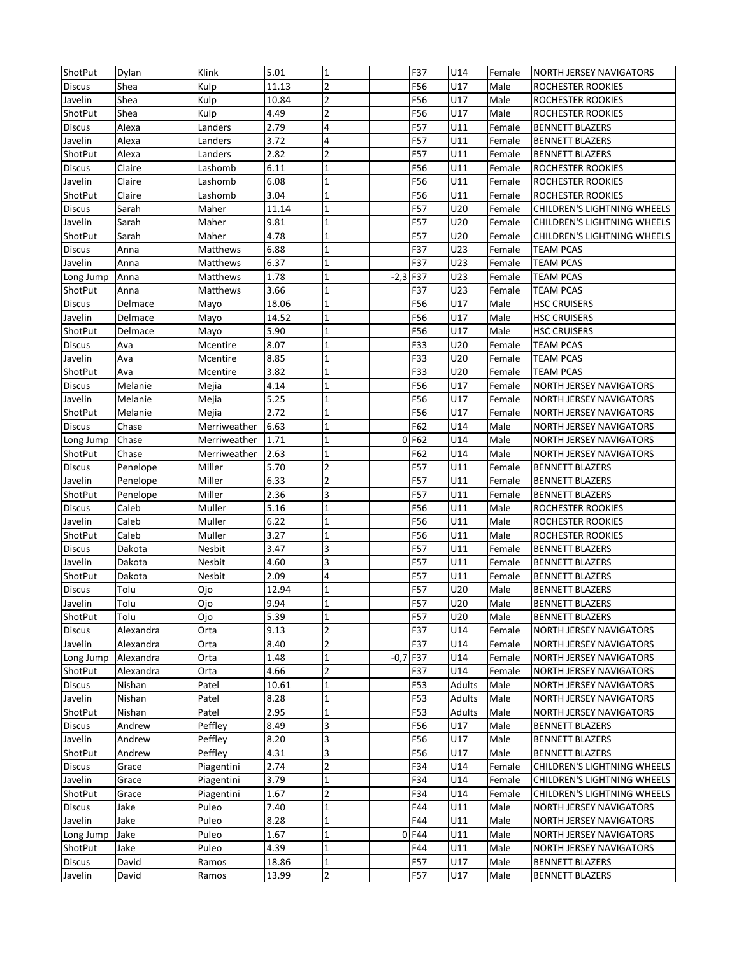| ShotPut        | Dylan     | Klink        | 5.01  | $\mathbf{1}$            |        | F37        | U14           | Female | <b>NORTH JERSEY NAVIGATORS</b> |
|----------------|-----------|--------------|-------|-------------------------|--------|------------|---------------|--------|--------------------------------|
| <b>Discus</b>  | Shea      | Kulp         | 11.13 | $\overline{2}$          |        | F56        | U17           | Male   | ROCHESTER ROOKIES              |
| Javelin        | Shea      | Kulp         | 10.84 | $\overline{2}$          |        | F56        | U17           | Male   | ROCHESTER ROOKIES              |
| ShotPut        | Shea      | Kulp         | 4.49  | $\overline{2}$          |        | F56        | U17           | Male   | ROCHESTER ROOKIES              |
| <b>Discus</b>  | Alexa     | Landers      | 2.79  | $\overline{\mathbf{4}}$ |        | <b>F57</b> | U11           | Female | <b>BENNETT BLAZERS</b>         |
| Javelin        | Alexa     | Landers      | 3.72  | $\overline{\mathbf{4}}$ |        | <b>F57</b> | U11           | Female | <b>BENNETT BLAZERS</b>         |
| ShotPut        | Alexa     | Landers      | 2.82  | $\overline{2}$          |        | <b>F57</b> | U11           | Female | <b>BENNETT BLAZERS</b>         |
| <b>Discus</b>  | Claire    | Lashomb      | 6.11  | $\mathbf 1$             |        | F56        | U11           | Female | ROCHESTER ROOKIES              |
| Javelin        | Claire    | Lashomb      | 6.08  | 1                       |        | F56        | U11           | Female | ROCHESTER ROOKIES              |
| ShotPut        | Claire    | Lashomb      | 3.04  | $\mathbf{1}$            |        | F56        | U11           | Female | ROCHESTER ROOKIES              |
| <b>Discus</b>  | Sarah     | Maher        | 11.14 | $\mathbf{1}$            |        | <b>F57</b> | U20           | Female | CHILDREN'S LIGHTNING WHEELS    |
| Javelin        | Sarah     | Maher        | 9.81  | $\mathbf 1$             |        | <b>F57</b> | U20           | Female | CHILDREN'S LIGHTNING WHEELS    |
| ShotPut        | Sarah     | Maher        | 4.78  | $\mathbf{1}$            |        | <b>F57</b> | U20           | Female | CHILDREN'S LIGHTNING WHEELS    |
| <b>Discus</b>  | Anna      | Matthews     | 6.88  | $\mathbf{1}$            |        | F37        | U23           | Female | <b>TEAM PCAS</b>               |
| Javelin        | Anna      | Matthews     | 6.37  | $\mathbf{1}$            |        | F37        | U23           | Female | <b>TEAM PCAS</b>               |
| Long Jump      | Anna      | Matthews     | 1.78  | $\mathbf 1$             | $-2,3$ | F37        | U23           | Female | <b>TEAM PCAS</b>               |
| ShotPut        | Anna      | Matthews     | 3.66  | $\mathbf{1}$            |        | F37        | U23           | Female | <b>TEAM PCAS</b>               |
| <b>Discus</b>  | Delmace   | Mayo         | 18.06 | $\mathbf{1}$            |        | F56        | U17           | Male   | <b>HSC CRUISERS</b>            |
| Javelin        | Delmace   | Mayo         | 14.52 | $\mathbf{1}$            |        | F56        | U17           | Male   | <b>HSC CRUISERS</b>            |
| ShotPut        | Delmace   | Mayo         | 5.90  | $\overline{1}$          |        | F56        | U17           | Male   | <b>HSC CRUISERS</b>            |
| <b>Discus</b>  | Ava       | Mcentire     | 8.07  | $\mathbf{1}$            |        | F33        | U20           | Female | <b>TEAM PCAS</b>               |
| Javelin        | Ava       | Mcentire     | 8.85  | $\mathbf{1}$            |        | F33        | U20           | Female | <b>TEAM PCAS</b>               |
| ShotPut        | Ava       | Mcentire     | 3.82  | $\overline{1}$          |        | F33        | U20           | Female | <b>TEAM PCAS</b>               |
| <b>Discus</b>  | Melanie   | Mejia        | 4.14  | $\mathbf 1$             |        | F56        | U17           | Female | NORTH JERSEY NAVIGATORS        |
| Javelin        | Melanie   | Mejia        | 5.25  | $\mathbf 1$             |        | F56        | U17           | Female | NORTH JERSEY NAVIGATORS        |
| ShotPut        | Melanie   | Mejia        | 2.72  | $\mathbf{1}$            |        | F56        | U17           | Female | <b>NORTH JERSEY NAVIGATORS</b> |
| <b>Discus</b>  | Chase     | Merriweather | 6.63  | $\mathbf{1}$            |        | F62        | U14           | Male   | NORTH JERSEY NAVIGATORS        |
| Long Jump      | Chase     | Merriweather | 1.71  | $\mathbf{1}$            | 0      | F62        | U14           | Male   | NORTH JERSEY NAVIGATORS        |
| <b>ShotPut</b> | Chase     | Merriweather | 2.63  | $\mathbf 1$             |        | F62        | U14           | Male   | <b>NORTH JERSEY NAVIGATORS</b> |
| <b>Discus</b>  | Penelope  | Miller       | 5.70  | $\overline{2}$          |        | F57        | U11           | Female | <b>BENNETT BLAZERS</b>         |
| Javelin        | Penelope  | Miller       | 6.33  | $\overline{2}$          |        | <b>F57</b> | U11           | Female | <b>BENNETT BLAZERS</b>         |
| ShotPut        | Penelope  | Miller       | 2.36  | 3                       |        | F57        | U11           | Female | <b>BENNETT BLAZERS</b>         |
| Discus         | Caleb     | Muller       | 5.16  | $\mathbf 1$             |        | F56        | U11           | Male   | ROCHESTER ROOKIES              |
| Javelin        | Caleb     | Muller       | 6.22  | 1                       |        | F56        | U11           | Male   | ROCHESTER ROOKIES              |
| ShotPut        | Caleb     | Muller       | 3.27  | $\mathbf{1}$            |        | F56        | U11           | Male   | ROCHESTER ROOKIES              |
| <b>Discus</b>  | Dakota    | Nesbit       | 3.47  | 3                       |        | <b>F57</b> | U11           | Female | <b>BENNETT BLAZERS</b>         |
| Javelin        | Dakota    | Nesbit       | 4.60  | 3                       |        | <b>F57</b> | U11           | Female | <b>BENNETT BLAZERS</b>         |
| ShotPut        | Dakota    | Nesbit       | 2.09  | 4                       |        | <b>F57</b> | U11           | Female | <b>BENNETT BLAZERS</b>         |
| <b>Discus</b>  | Tolu      | Ojo          | 12.94 | $\mathbf{1}$            |        | <b>F57</b> | U20           | Male   | <b>BENNETT BLAZERS</b>         |
| Javelin        | Tolu      | Ojo          | 9.94  |                         |        | F57        | U20           | Male   | <b>BENNETT BLAZERS</b>         |
| ShotPut        | Tolu      | Ojo          | 5.39  | $\mathbf 1$             |        | F57        | U20           | Male   | <b>BENNETT BLAZERS</b>         |
| <b>Discus</b>  | Alexandra | Orta         | 9.13  | $\overline{2}$          |        | F37        | U14           | Female | NORTH JERSEY NAVIGATORS        |
| Javelin        | Alexandra | Orta         | 8.40  | $\overline{2}$          |        | F37        | U14           | Female | NORTH JERSEY NAVIGATORS        |
| Long Jump      | Alexandra | Orta         | 1.48  | $\mathbf{1}$            | $-0,7$ | F37        | U14           | Female | NORTH JERSEY NAVIGATORS        |
| ShotPut        | Alexandra | Orta         | 4.66  | $\overline{2}$          |        | F37        | U14           | Female | NORTH JERSEY NAVIGATORS        |
| <b>Discus</b>  | Nishan    | Patel        | 10.61 | $\mathbf 1$             |        | F53        | <b>Adults</b> | Male   | NORTH JERSEY NAVIGATORS        |
| Javelin        | Nishan    | Patel        | 8.28  | $\mathbf{1}$            |        | F53        | Adults        | Male   | NORTH JERSEY NAVIGATORS        |
| ShotPut        | Nishan    | Patel        | 2.95  | $\mathbf{1}$            |        | F53        | Adults        | Male   | NORTH JERSEY NAVIGATORS        |
| <b>Discus</b>  | Andrew    | Peffley      | 8.49  | 3                       |        | F56        | U17           | Male   | <b>BENNETT BLAZERS</b>         |
| Javelin        | Andrew    | Peffley      | 8.20  | 3                       |        | F56        | U17           | Male   | <b>BENNETT BLAZERS</b>         |
| ShotPut        | Andrew    | Peffley      | 4.31  | $\overline{\mathbf{3}}$ |        | F56        | U17           | Male   | BENNETT BLAZERS                |
| Discus         | Grace     | Piagentini   | 2.74  | $\overline{2}$          |        | F34        | U14           | Female | CHILDREN'S LIGHTNING WHEELS    |
| Javelin        | Grace     | Piagentini   | 3.79  | $\mathbf{1}$            |        | F34        | U14           | Female | CHILDREN'S LIGHTNING WHEELS    |
| ShotPut        | Grace     | Piagentini   | 1.67  | $\overline{2}$          |        | F34        | U14           | Female | CHILDREN'S LIGHTNING WHEELS    |
| <b>Discus</b>  | Jake      | Puleo        | 7.40  | $\mathbf 1$             |        | F44        | U11           | Male   | NORTH JERSEY NAVIGATORS        |
| Javelin        | Jake      | Puleo        | 8.28  | $\mathbf{1}$            |        | F44        | U11           | Male   | NORTH JERSEY NAVIGATORS        |
| Long Jump      | Jake      | Puleo        | 1.67  | $\mathbf{1}$            |        | 0F44       | U11           | Male   | NORTH JERSEY NAVIGATORS        |
| ShotPut        | Jake      | Puleo        | 4.39  | 1                       |        | F44        | U11           | Male   | NORTH JERSEY NAVIGATORS        |
| <b>Discus</b>  | David     | Ramos        | 18.86 | $\mathbf 1$             |        | F57        | U17           | Male   | BENNETT BLAZERS                |
| Javelin        | David     | Ramos        | 13.99 | $\overline{2}$          |        | F57        | U17           | Male   | <b>BENNETT BLAZERS</b>         |